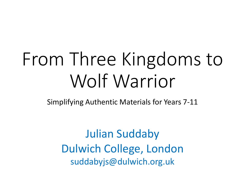# From Three Kingdoms to Wolf Warrior

Simplifying Authentic Materials for Years 7-11

Julian Suddaby Dulwich College, London suddabyjs@dulwich.org.uk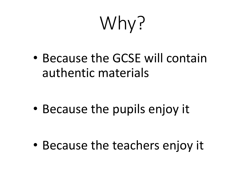Why?

• Because the GCSE will contain authentic materials

• Because the pupils enjoy it

• Because the teachers enjoy it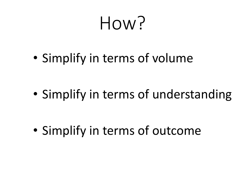How?

• Simplify in terms of volume

• Simplify in terms of understanding

• Simplify in terms of outcome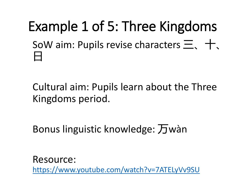#### Example 1 of 5: Three Kingdoms SoW aim: Pupils revise characters  $\equiv$ ,  $+$ , 日

Cultural aim: Pupils learn about the Three Kingdoms period.

Bonus linguistic knowledge: 万wàn

Resource: <https://www.youtube.com/watch?v=7ATELyVv9SU>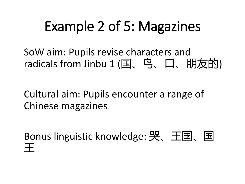### Example 2 of 5: Magazines

SoW aim: Pupils revise characters and radicals from Jinbu 1 (国、鸟、口、朋友的)

Cultural aim: Pupils encounter a range of Chinese magazines

Bonus linguistic knowledge: 哭、王国、国 王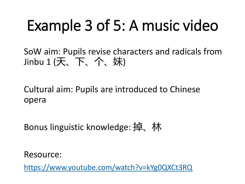# Example 3 of 5: A music video

SoW aim: Pupils revise characters and radicals from Jinbu 1 (天、下、个、妹)

Cultural aim: Pupils are introduced to Chinese opera

Bonus linguistic knowledge: 掉、林

Resource:

<https://www.youtube.com/watch?v=kYg0QXCt3RQ>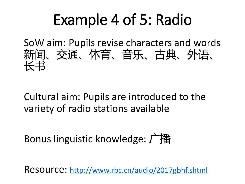# Example 4 of 5: Radio

SoW aim: Pupils revise characters and words 新闻、交通、体育、音乐、古典、外语、 长书

Cultural aim: Pupils are introduced to the variety of radio stations available

Bonus linguistic knowledge: 广播

Resource: <http://www.rbc.cn/audio/2017gbhf.shtml>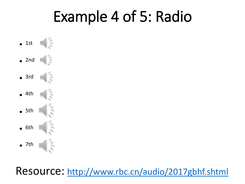### Example 4 of 5: Radio



Resource: <http://www.rbc.cn/audio/2017gbhf.shtml>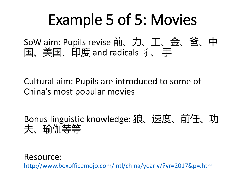# Example 5 of 5: Movies

SoW aim: Pupils revise 前、力、工、金、爸、中 国、美国、印度 and radicals 犭、 手

Cultural aim: Pupils are introduced to some of China's most popular movies

Bonus linguistic knowledge: 狼、速度、前任、功 夫、瑜伽等等

Resource: <http://www.boxofficemojo.com/intl/china/yearly/?yr=2017&p=.htm>